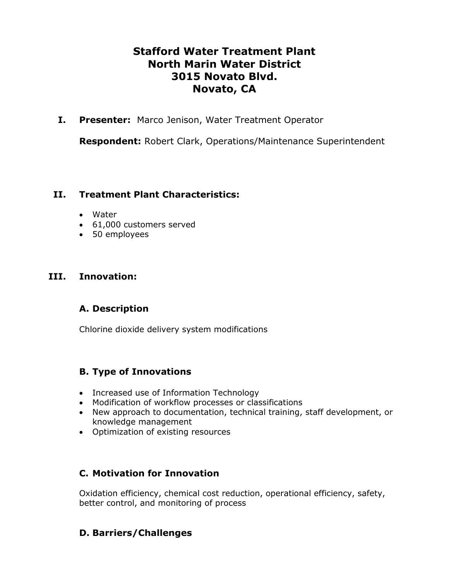# **Stafford Water Treatment Plant North Marin Water District 3015 Novato Blvd. Novato, CA**

**I. Presenter:** Marco Jenison, Water Treatment Operator

**Respondent:** Robert Clark, Operations/Maintenance Superintendent

#### **II. Treatment Plant Characteristics:**

- Water
- 61,000 customers served
- 50 employees

### **III. Innovation:**

## **A. Description**

Chlorine dioxide delivery system modifications

## **B. Type of Innovations**

- Increased use of Information Technology
- Modification of workflow processes or classifications
- New approach to documentation, technical training, staff development, or knowledge management
- Optimization of existing resources

## **C. Motivation for Innovation**

Oxidation efficiency, chemical cost reduction, operational efficiency, safety, better control, and monitoring of process

## **D. Barriers/Challenges**